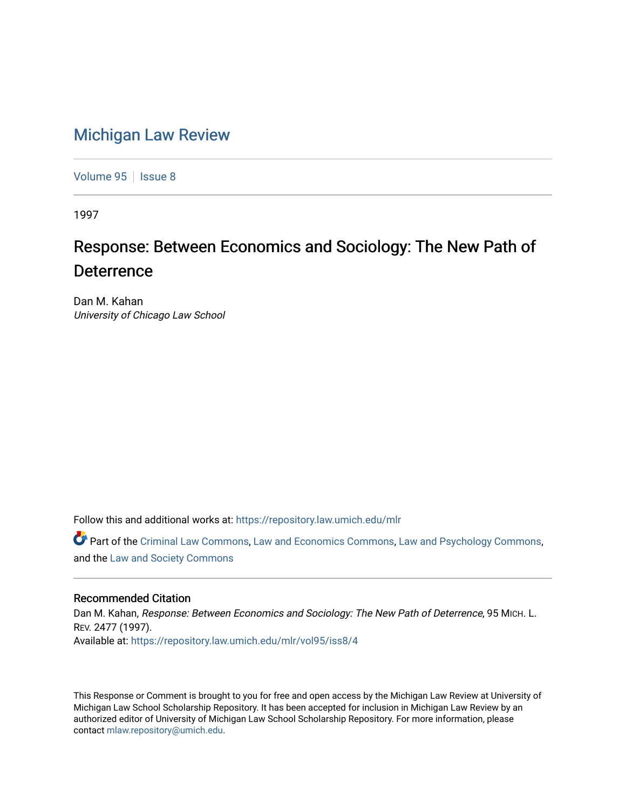# [Michigan Law Review](https://repository.law.umich.edu/mlr)

[Volume 95](https://repository.law.umich.edu/mlr/vol95) | [Issue 8](https://repository.law.umich.edu/mlr/vol95/iss8)

1997

# Response: Between Economics and Sociology: The New Path of **Deterrence**

Dan M. Kahan University of Chicago Law School

Follow this and additional works at: [https://repository.law.umich.edu/mlr](https://repository.law.umich.edu/mlr?utm_source=repository.law.umich.edu%2Fmlr%2Fvol95%2Fiss8%2F4&utm_medium=PDF&utm_campaign=PDFCoverPages) 

Part of the [Criminal Law Commons,](http://network.bepress.com/hgg/discipline/912?utm_source=repository.law.umich.edu%2Fmlr%2Fvol95%2Fiss8%2F4&utm_medium=PDF&utm_campaign=PDFCoverPages) [Law and Economics Commons,](http://network.bepress.com/hgg/discipline/612?utm_source=repository.law.umich.edu%2Fmlr%2Fvol95%2Fiss8%2F4&utm_medium=PDF&utm_campaign=PDFCoverPages) [Law and Psychology Commons,](http://network.bepress.com/hgg/discipline/870?utm_source=repository.law.umich.edu%2Fmlr%2Fvol95%2Fiss8%2F4&utm_medium=PDF&utm_campaign=PDFCoverPages) and the [Law and Society Commons](http://network.bepress.com/hgg/discipline/853?utm_source=repository.law.umich.edu%2Fmlr%2Fvol95%2Fiss8%2F4&utm_medium=PDF&utm_campaign=PDFCoverPages) 

# Recommended Citation

Dan M. Kahan, Response: Between Economics and Sociology: The New Path of Deterrence, 95 MICH. L. REV. 2477 (1997). Available at: [https://repository.law.umich.edu/mlr/vol95/iss8/4](https://repository.law.umich.edu/mlr/vol95/iss8/4?utm_source=repository.law.umich.edu%2Fmlr%2Fvol95%2Fiss8%2F4&utm_medium=PDF&utm_campaign=PDFCoverPages)

This Response or Comment is brought to you for free and open access by the Michigan Law Review at University of Michigan Law School Scholarship Repository. It has been accepted for inclusion in Michigan Law Review by an authorized editor of University of Michigan Law School Scholarship Repository. For more information, please contact [mlaw.repository@umich.edu](mailto:mlaw.repository@umich.edu).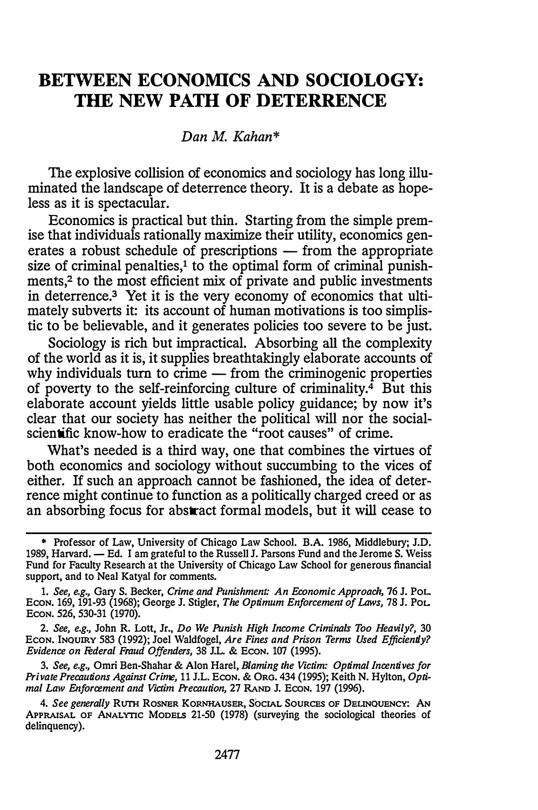# BETWEEN ECONOMICS AND SOCIOLOGY: THE NEW PATH OF DETERRENCE

# Dan M. Kahan\*

The explosive collision of economics and sociology has long illuminated the landscape of deterrence theory. It is a debate as hopeless as it is spectacular.

Economics is practical but thin. Starting from the simple premise that individuals rationally maximize their utility, economics generates a robust schedule of prescriptions  $-$  from the appropriate size of criminal penalties, $\frac{1}{1}$  to the optimal form of criminal punishments,<sup>2</sup> to the most efficient mix of private and public investments in deterrence.3 Yet it is the very economy of economics that ultimately subverts it: its account of human motivations is too simplistic to be believable, and it generates policies too severe to be just.

Sociology is rich but impractical. Absorbing all the complexity of the world as it is, it supplies breathtakingly elaborate accounts of why individuals turn to crime  $-$  from the criminogenic properties of poverty to the self-reinforcing culture of criminality. $\frac{3}{4}$  But this elaborate account yields little usable policy guidance; by now it's clear that our society has neither the political will nor the socialscientific know-how to eradicate the "root causes" of crime.

What's needed is a third way, one that combines the virtues of both economics and sociology without succumbing to the vices of either. If such an approach cannot be fashioned, the idea of deterrence might continue to function as a politically charged creed or as an absorbing focus for abstract formal models, but it will cease to

1. See, e.g., Gary S. Becker, Crime and Punishment: An Economic Approach, 76 J. PoL. Econ. 169, 191-93 (1968); George J. Stigler, The Optimum Enforcement of Laws, 78 J. Pol. ECON. 526, 530-31 (1970).

2. See, e.g., John R. Lott, Jr., Do We Punish High Income Criminals Too Heavily?, 30 Econ. InQUIRY 583 (1992); Joel Waldfogel, Are Fines and Prison Terms Used Efficiently? Evidence on Federal Fraud Offenders, 38 J.L. & ECON. 107 (1995).

3. See, e.g., Omri Ben-Shahar & Alon Hare!, Blaming the Victim: Optimal Incentives for Private Precautions Against Crime, 11 J.L. Econ. & Org. 434 (1995); Keith N. Hylton, Optimal Law Enforcement and Victim Precaution, 27 RAND J. ECON. 197 (1996).

4. See generally RUTH ROSNER KORNHAUSER, SOCIAL SOURCES OF DELINQUENCY: AN APPRAISAL OF ANALYTIC MODELS 21-50 (1978) (surveying the sociological theories of delinquency).

<sup>\*</sup> Professor of Law, University of Chicago Law School. B.A. 1986, Middlebury; J.D. 1989, Harvard. - Ed. I am grateful to the Russell J. Parsons Fund and the Jerome S. Weiss Fund for Faculty Research at the University of Chicago Law School for generous financial support, and to Neal Katyal for comments.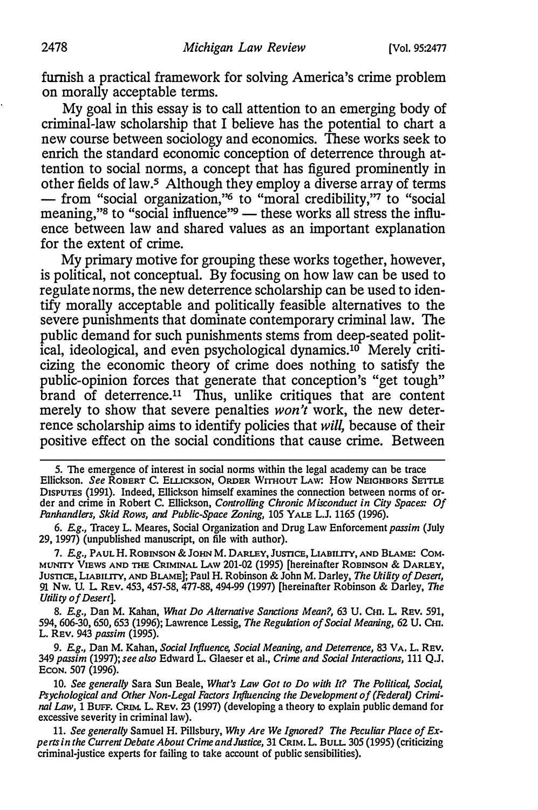furnish a practical framework for solving America's crime problem on morally acceptable terms.

My goal in this essay is to call attention to an emerging body of criminal-law scholarship that I believe has the potential to chart a new course between sociology and economics. These works seek to enrich the standard economic conception of deterrence through attention to social norms, a concept that has figured prominently in other fields of law.5 Although they employ a diverse array of terms - from "social organization,"<sup>6</sup> to "moral credibility,"<sup>7</sup> to "social meaning,"<sup>8</sup> to "social influence"<sup>9</sup> - these works all stress the influence between law and shared values as an important explanation for the extent of crime.

My primary motive for grouping these works together, however, is political, not conceptual. By focusing on how law can be used to regulate norms, the new deterrence scholarship can be used to identify morally acceptable and politically feasible alternatives to the severe punishments that dominate contemporary criminal law. The public demand for such punishments stems from deep-seated political, ideological, and even psychological dynamics.10 Merely criticizing the economic theory of crime does nothing to satisfy the public-opinion forces that generate that conception's "get tough" brand of deterrence.11 Thus, unlike critiques that are content merely to show that severe penalties  $won't$  work, the new deterrence scholarship aims to identify policies that will, because of their positive effect on the social conditions that cause crime. Between

5. The emergence of interest in social norms within the legal academy can be trace Ellickson. See ROBERT C. ELLICKSON, ORDER WITHOUT LAW: HOW NEIGHBORS SETTLE DISPUTES (1991). Indeed, Ellickson himself examines the connection between norms of order and crime in Robert C. Ellickson, Controlling Chronic Misconduct in City Spaces: Of Panhandlers, Skid Rows, and Public-Space Zoning, 105 YALE L.J. 1165 (1996).

6. E.g., Tracey L. Meares, Social Organization and Drug Law Enforcement passim (July 29, 1997) (unpublished manuscript, on file with author).

7. E.g., PAUL H. ROBINSON & JOHN M. DARLEY, JUSTICE, LIABILITY, AND BLAME: COM-MUNITY VIEWS AND THE CRIMINAL LAW 201-02 (1995) [hereinafter ROBINSON & DARLEY, JUSTICE, LIABILITY, AND BLAME]; Paul H. Robinson & John M. Darley, The Utility of Desert, 91 Nw. U. L. REv. 453, 457-58, 477-88, 494-99 (1997) (hereinafter Robinson & Darley, The Utility of Desert].

8. E.g., Dan M. Kahan, What Do Alternative Sanctions Mean?, 63 U. Cm. L. REV. 591, 594, 606-30, 650, 653 (1996); Lawrence Lessig, The Regulation of Social Meaning, 62 U. Cm. L. REv. 943 passim (1995).

9. E.g., Dan M. Kahan, Social Influence, Social Meaning, and Deterrence, 83 VA. L. REV. 349 passim (1997); see also Edward L. Glaeser et al., Crime and Social Interactions, 111 Q.J. ECON. 507 (1996).

10. See generally Sara Sun Beale, What's Law Got to Do with It? The Political, Social, Psychological and Other Non-Legal Factors Influencing the Development of (Federal) Criminal Law, 1 BUFF. CRIM. L. REV. 23 (1997) (developing a theory to explain public demand for excessive severity in criminal law).

11. See generally Samuel H. Pillsbury, Why Are We Ignored? The Peculiar Place of Experts in the Current Debate About Crime and Justice, 31 CRIM. L. BULL. 305 (1995) (criticizing criminal-justice experts for failing to take account of public sensibilities).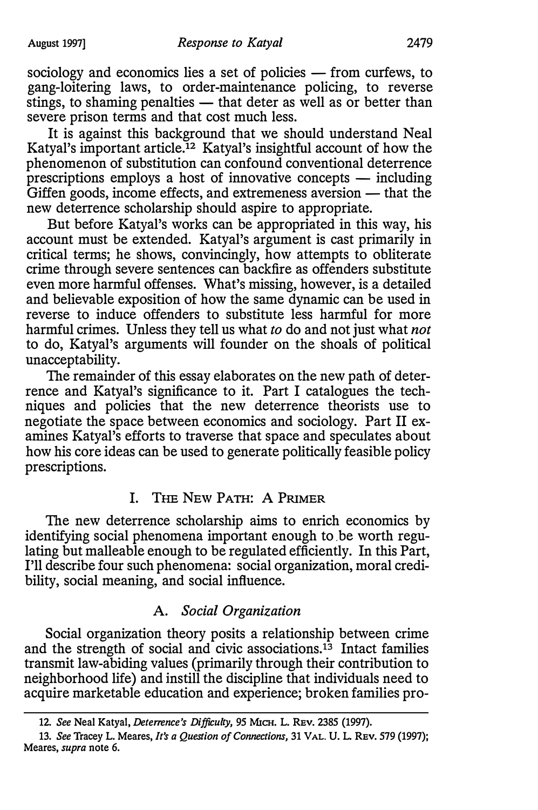sociology and economics lies a set of policies - from curfews, to gang-loitering laws, to order-maintenance policing, to reverse stings, to shaming penalties  $-$  that deter as well as or better than severe prison terms and that cost much less.

It is against this background that we should understand Neal Katyal's important article.<sup>12</sup> Katyal's insightful account of how the phenomenon of substitution can confound conventional deterrence prescriptions employs a host of innovative concepts  $-$  including Giffen goods, income effects, and extremeness aversion  $-$  that the new deterrence scholarship should aspire to appropriate.

But before Katyal's works can be appropriated in this way, his account must be extended. Katyal's argument is cast primarily in critical terms; he shows, convincingly, how attempts to obliterate crime through severe sentences can backfire as offenders substitute even more harmful offenses. What's missing, however, is a detailed and believable exposition of how the same dynamic can be used in reverse to induce offenders to substitute less harmful for more harmful crimes. Unless they tell us what to do and not just what not to do, Katyal's arguments will founder on the shoals of political unacceptability.

The remainder of this essay elaborates on the new path of deterrence and Katyal's significance to it. Part I catalogues the techniques and policies that the new deterrence theorists use to negotiate the space between economics and sociology. Part II examines Katyal's efforts to traverse that space and speculates about how his core ideas can be used to generate politically feasible policy prescriptions.

# I. THE NEW PATH: A PRIMER

The new deterrence scholarship aims to enrich economics by identifying social phenomena important enough to be worth regulating but malleable enough to be regulated efficiently. In this Part, I'll describe four such phenomena: social organization, moral credibility, social meaning, and social influence.

### A. Social Organization

Social organization theory posits a relationship between crime and the strength of social and civic associations.<sup>13</sup> Intact families transmit law-abiding values (primarily through their contribution to neighborhood life) and instill the discipline that individuals need to acquire marketable education and experience; broken families pro-

<sup>12.</sup> See Neal Katyal, Deterrence's Difficulty, 95 MICH. L. REV. 2385 (1997).

<sup>13.</sup> See Tracey L. Meares, It's a Question of Connections, 31 VAL. U. L. REV. 579 (1997); Meares, supra note 6.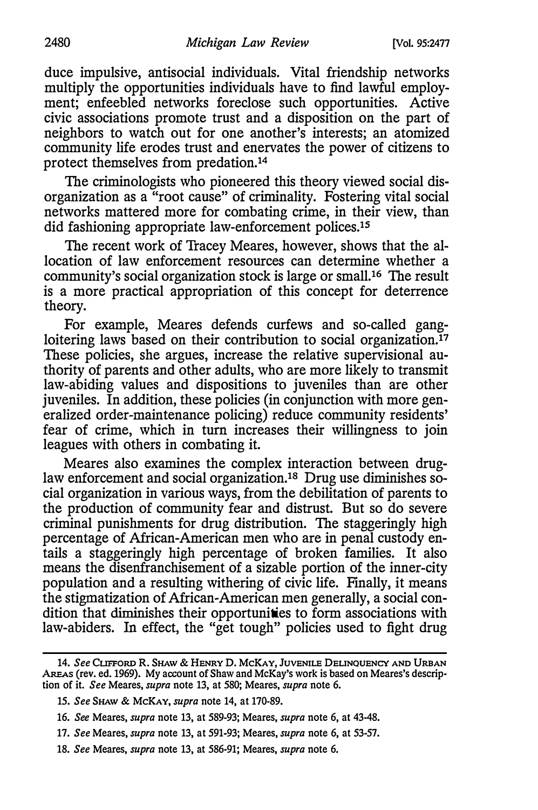duce impulsive, antisocial individuals. Vital friendship networks multiply the opportunities individuals have to find lawful employment; enfeebled networks foreclose such opportunities. Active civic associations promote trust and a disposition on the part of neighbors to watch out for one another's interests; an atomized community life erodes trust and enervates the power of citizens to protect themselves from predation.14

The criminologists who pioneered this theory viewed social disorganization as a "root cause" of criminality. Fostering vital social networks mattered more for combating crime, in their view, than did fashioning appropriate law-enforcement polices.1s

The recent work of Tracey Meares, however, shows that the allocation of law enforcement resources can determine whether a community's social organization stock is large or small.16 The result is a more practical appropriation of this concept for deterrence theory.

For example, Meares defends curfews and so-called gangloitering laws based on their contribution to social organization.<sup>17</sup> These policies, she argues, increase the relative supervisional authority of parents and other adults, who are more likely to transmit law-abiding values and dispositions to juveniles than are other juveniles. In addition, these policies (in conjunction with more generalized order-maintenance policing) reduce community residents' fear of crime, which in turn increases their willingness to join leagues with others in combating it.

Meares also examines the complex interaction between druglaw enforcement and social organization.1s Drug use diminishes social organization in various ways, from the debilitation of parents to the production of community fear and distrust. But so do severe criminal punishments for drug distribution. The staggeringly high percentage of African-American men who are in penal custody entails a staggeringly high percentage of broken families. It also means the disenfranchisement of a sizable portion of the inner-city population and a resulting withering of civic life. Finally, it means the stigmatization of African-American men generally, a social condition that diminishes their opportunities to form associations with law-abiders. In effect, the "get tough" policies used to fight drug

AREAs (rev. ed. 1969). My account of Shaw and McKay's work is based on Meares's descrip-14. See CLIFFORD R. SHAW & HENRY D. McKAY, JUVENILE DELINQUENCY AND URBAN tion of it. See Meares, supra note 13, at 580; Meares, supra note 6.

<sup>15.</sup> See SHAW & McKAY, supra note 14, at 170-89.

<sup>16.</sup> See Meares, supra note 13, at 589-93; Meares, supra note 6, at 43-48.

<sup>17.</sup> See Meares, supra note 13, at 591-93; Meares, supra note 6, at 53-57.

<sup>18.</sup> See Meares, supra note 13, at 586-91; Meares, supra note 6.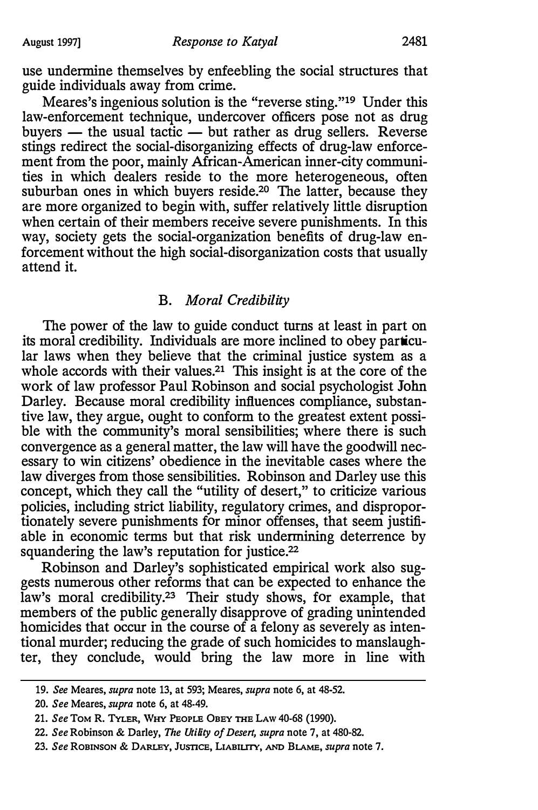use undermine themselves by enfeebling the social structures that guide individuals away from crime.

Meares's ingenious solution is the "reverse sting."19 Under this law-enforcement technique, undercover officers pose not as drug buyers  $-$  the usual tactic  $-$  but rather as drug sellers. Reverse stings redirect the social-disorganizing effects of drug-law enforcement from the poor, mainly African-American inner-city communities in which dealers reside to the more heterogeneous, often suburban ones in which buyers reside.<sup>20</sup> The latter, because they are more organized to begin with, suffer relatively little disruption when certain of their members receive severe punishments. In this way, society gets the social-organization benefits of drug-law enforcement without the high social-disorganization costs that usually attend it.

# B. Moral Credibility

The power of the law to guide conduct turns at least in part on its moral credibility. Individuals are more inclined to obey particular laws when they believe that the criminal justice system as a whole accords with their values.<sup>21</sup> This insight is at the core of the work of law professor Paul Robinson and social psychologist John Darley. Because moral credibility influences compliance, substantive law, they argue, ought to conform to the greatest extent possible with the community's moral sensibilities; where there is such convergence as a general matter, the law will have the goodwill necessary to win citizens' obedience in the inevitable cases where the law diverges from those sensibilities. Robinson and Darley use this concept, which they call the "utility of desert," to criticize various policies, including strict liability, regulatory crimes, and disproportionately severe punishments for minor offenses, that seem justifiable in economic terms but that risk undermining deterrence by squandering the law's reputation for justice.<sup>22</sup>

Robinson and Darley's sophisticated empirical work also suggests numerous other reforms that can be expected to enhance the law's moral credibility.<sup>23</sup> Their study shows, for example, that members of the public generally disapprove of grading unintended homicides that occur in the course of a felony as severely as intentional murder; reducing the grade of such homicides to manslaughter, they conclude, would bring the law more in line with

<sup>19.</sup> See Meares, supra note 13, at 593; Meares, supra note 6, at 48-52.

<sup>20.</sup> See Meares, supra note 6, at 48-49.

<sup>21.</sup> See ToM R. TYLER, WHY PEOPLE OBEY THE LAw 40-68 (1990).

<sup>22.</sup> See Robinson & Darley, The Utility of Desert, supra note 7, at 480-82.

<sup>23.</sup> See ROBINSON & DARLEY, JUSTICE, LIABIUTY, AND BLAME, supra note 7.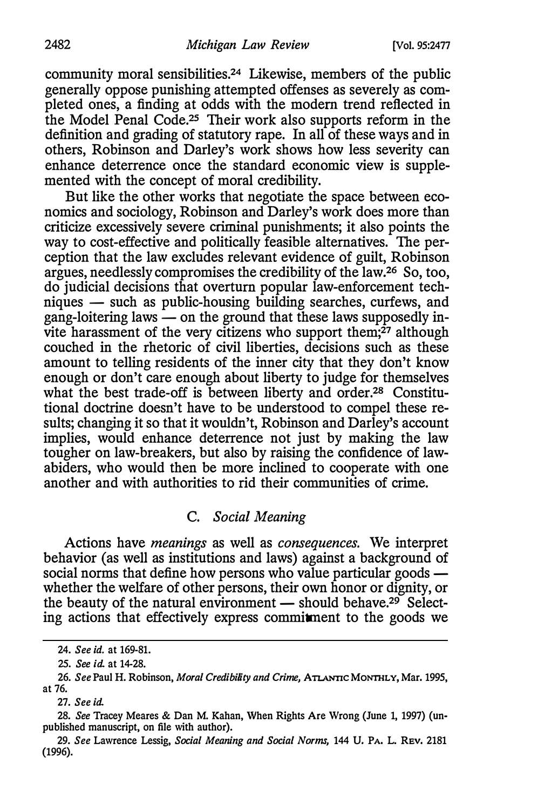community moral sensibilities.24 Likewise, members of the public generally oppose punishing attempted offenses as severely as completed ones, a finding at odds with the modem trend reflected in the Model Penal Code.<sup>25</sup> Their work also supports reform in the definition and grading of statutory rape. In all of these ways and in others, Robinson and Darley's work shows how less severity can enhance deterrence once the standard economic view is supplemented with the concept of moral credibility.

But like the other works that negotiate the space between economics and sociology, Robinson and Darley's work does more than criticize excessively severe criminal punishments; it also points the way to cost-effective and politically feasible alternatives. The perception that the law excludes relevant evidence of guilt, Robinson argues, needlessly compromises the credibility of the law.26 So, too, do judicial decisions that overturn popular law-enforcement techniques - such as public-housing building searches, curfews, and gang-loitering laws  $\sim$  on the ground that these laws supposedly invite harassment of the very citizens who support them;<sup>27</sup> although couched in the rhetoric of civil liberties, decisions such as these amount to telling residents of the inner city that they don't know enough or don't care enough about liberty to judge for themselves what the best trade-off is between liberty and order.2s Constitutional doctrine doesn't have to be understood to compel these results; changing it so that it wouldn't, Robinson and Darley's account implies, would enhance deterrence not just by making the law tougher on law-breakers, but also by raising the confidence of lawabiders, who would then be more inclined to cooperate with one another and with authorities to rid their communities of crime.

# C. Social Meaning

Actions have meanings as well as consequences. We interpret behavior (as well as institutions and laws) against a background of social norms that define how persons who value particular goods  $$ whether the welfare of other persons, their own honor or dignity, or the beauty of the natural environment  $-$  should behave.<sup>29</sup> Selecting actions that effectively express commitment to the goods we

<sup>24.</sup> See id. at 169-81.

<sup>25.</sup> See id. at 14-28.

<sup>26.</sup> See Paul H. Robinson, Moral Credibility and Crime, ATLANTIC MONTHLY, Mar. 1995, at 76.

<sup>27.</sup> See id.

<sup>28.</sup> See Tracey Meares & Dan M. Kahan, When Rights Are Wrong (June 1, 1997) (unpublished manuscript, on file with author).

<sup>29.</sup> See Lawrence Lessig, Social Meaning and Social Norms, 144 U. PA. L. REV. 2181 {1996).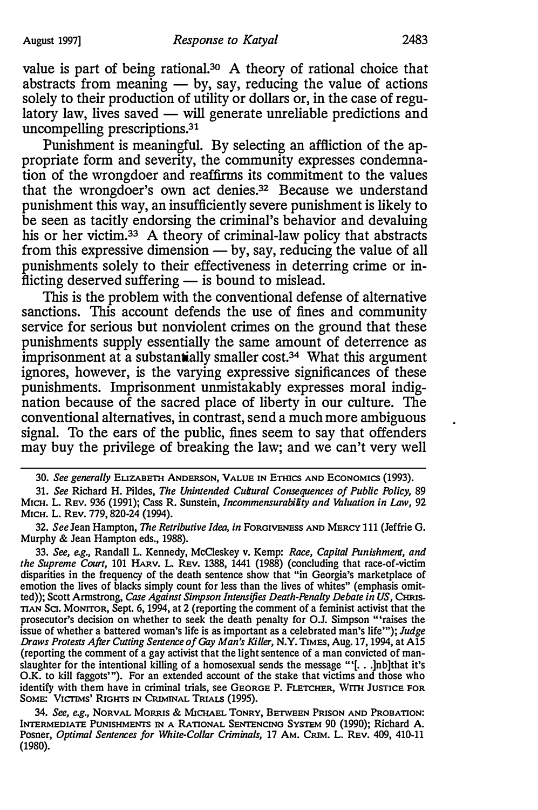value is part of being rational.<sup>30</sup> A theory of rational choice that abstracts from meaning  $-$  by, say, reducing the value of actions solely to their production of utility or dollars or, in the case of regulatory law, lives saved — will generate unreliable predictions and uncompelling prescriptions. 31

Punishment is meaningful. By selecting an affliction of the appropriate form and severity, the community expresses condemnation of the wrongdoer and reaffirms its commitment to the values that the wrongdoer's own act denies.32 Because we understand punishment this way, an insufficiently severe punishment is likely to be seen as tacitly endorsing the criminal's behavior and devaluing his or her victim.<sup>33</sup> A theory of criminal-law policy that abstracts from this expressive dimension  $-$  by, say, reducing the value of all punishments solely to their effectiveness in deterring crime or inflicting deserved suffering  $-$  is bound to mislead.

This is the problem with the conventional defense of alternative sanctions. This account defends the use of fines and community service for serious but nonviolent crimes on the ground that these punishments supply essentially the same amount of deterrence as imprisonment at a substantially smaller cost.<sup>34</sup> What this argument ignores, however, is the varying expressive significances of these punishments. Imprisonment unmistakably expresses moral indignation because of the sacred place of liberty in our culture. The conventional alternatives, in contrast, send a much more ambiguous signal. To the ears of the public, fines seem to say that offenders may buy the privilege of breaking the law; and we can't very well

34. See, e.g., NORVAL MORRIS & MICHAEL TONRY, BETWEEN PRISON AND PROBATION: INTERMEDIATE PUNISHMENTS IN A RATIONAL SENTENCING SYSTEM 90 {1990); Richard A. Posner, Optimal Sentences for White-Collar Criminals, 17 AM. CRIM. L. REv. 409, 410-11 {1980).

<sup>30.</sup> See generally ELIZABETH ANDERSON, VALUE IN ETHICS AND ECONOMICS (1993).

<sup>31.</sup> See Richard H. Pildes, The Unintended Cultural Consequences of Public Policy, 89 MICH. L. REV. 936 (1991); Cass R. Sunstein, Incommensurability and Valuation in Law, 92 MICH. L. REV. 779, 820·24 {1994).

<sup>32.</sup> See Jean Hampton, The Retributive Idea, in FORGIVENESS AND MERCY 111 (Jeffrie G. Murphy & Jean Hampton eds., 1988).

<sup>33.</sup> See, e.g., Randall L. Kennedy, McCleskey v. Kemp: Race, Capital Punishment, and the Supreme Court, 101 HARv. L. REv. 1388, 1441 {1988) (concluding that race-of-victim disparities in the frequency of the death sentence show that "in Georgia's marketplace of emotion the lives of blacks simply count for less than the lives of whites" (emphasis omitted)); Scott Armstrong, Case Against Simpson Intensifies Death-Penalty Debate in US, CHRIS-TIAN SCI. MONITOR, Sept. 6, 1994, at 2 (reporting the comment of a feminist activist that the prosecutor's decision on whether to seek the death penalty for O.J. Simpson "raises the issue of whether a battered woman's life is as important as a celebrated man's life'"); Judge Draws Protests After Cutting Sentence of Gay Man's Killer, N.Y. TIMES, Aug. 17, 1994, at A15 (reporting the comment of a gay activist that the light sentence of a man convicted of manslaughter for the intentional killing of a homosexual sends the message '"[ . . . ]nb]that it's O.K. to kill faggots"'). For an extended account of the stake that victims and those who identify with them have in criminal trials, see GEORGE P. FLETCHER, Wrm JUSTICE FOR SOME: VICTIMS' RIGHTS IN CRIMINAL TRIALS {1995).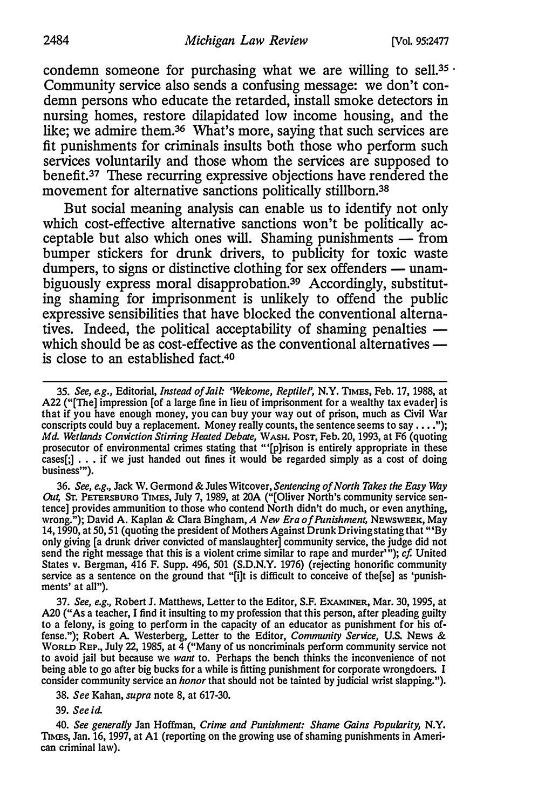condemn someone for purchasing what we are willing to sell.<sup>35</sup> Community service also sends a confusing message: we don't condemn persons who educate the retarded, install smoke detectors in nursing homes, restore dilapidated low income housing, and the like; we admire them.36 What's more, saying that such services are fit punishments for criminals insults both those who perform such services voluntarily and those whom the services are supposed to benefit.37 These recurring expressive objections have rendered the movement for alternative sanctions politically stillborn.<sup>38</sup>

But social meaning analysis can enable us to identify not only which cost-effective alternative sanctions won't be politically acceptable but also which ones will. Shaming punishments  $-$  from bumper stickers for drunk drivers, to publicity for toxic waste dumpers, to signs or distinctive clothing for sex offenders  $-$  unambiguously express moral disapprobation.<sup>39</sup> Accordingly, substituting shaming for imprisonment is unlikely to offend the public expressive sensibilities that have blocked the conventional alternatives. Indeed, the political acceptability of shaming penalties  $$ which should be as cost-effective as the conventional alternatives  $$ is close to an established fact.40

36. See, e.g., Jack W. Germond & Jules Witcover, Sentencing of North Takes the Easy Way Out, ST. PETERSBURG TIMES, July 7, 1989, at 20A ("[Oliver North's community service sentence] provides ammunition to those who contend North didn't do much, or even anything, wrong."); David A. Kaplan & Clara Bingham, A New Era of Punishment, Newsweek, May 14, 1990, at 50, 51 (quoting the president of Mothers Against Drunk Driving stating that "'By only giving [a drunk driver convicted of manslaughter] community service, the judge did not send the right message that this is a violent crime similar to rape and murder""); cf. United States v. Bergman, 416 F. Supp. 496, 501 (S.D.N.Y. 1976) (rejecting honorific community service as a sentence on the ground that "[i]t is difficult to conceive of the[se] as 'punish· ments' at all").

37. See, e.g., Robert J. Matthews, Letter to the Editor, S.F. EXAMINER, Mar. 30, 1995, at A20 ("As a teacher, I find it insulting to my profession that this person, after pleading guilty to a felony, is going to perform in the capacity of an educator as punishment for his offense."); Robert A. Westerberg, Letter to the Editor, Community Service, U.S. News & WoRLD REP., July 22, 1985, at 4 ("Many of us noncriminals perform community service not to avoid jail but because we want to. Perhaps the bench thinks the inconvenience of not being able to go after big bucks for a while is fitting punishment for corporate wrongdoers. I consider community service an *honor* that should not be tainted by judicial wrist slapping.").

38. See Kahan, supra note 8, at 617-30.

39. See id.

40. See generally Jan Hoffman, Crime and Punishment: Shame Gains Popularity, N.Y. TIMES, Jan. 16, 1997, at Al (reporting on the growing use of shaming punishments in American criminal law).

<sup>35.</sup> See, e.g., Editorial, *Instead of Jail: 'Welcome, Reptilel'*, N.Y. TIMES, Feb. 17, 1988, at A22 ("[The] impression [of a large fine in lieu of imprisonment for a wealthy tax evader] is that if you have enough money, you can buy your way out of prison, much as Civil War conscripts could buy a replacement. Money really counts, the sentence seems to say  $\dots$ "); Md. Wetlands Conviction Stirring Heated Debate, WASH. PosT, Feb. 20, 1993, at F6 (quoting prosecutor of environmental crimes stating that "'[p]rison is entirely appropriate in these cases $[j]$ ... if we just handed out fines it would be regarded simply as a cost of doing business'").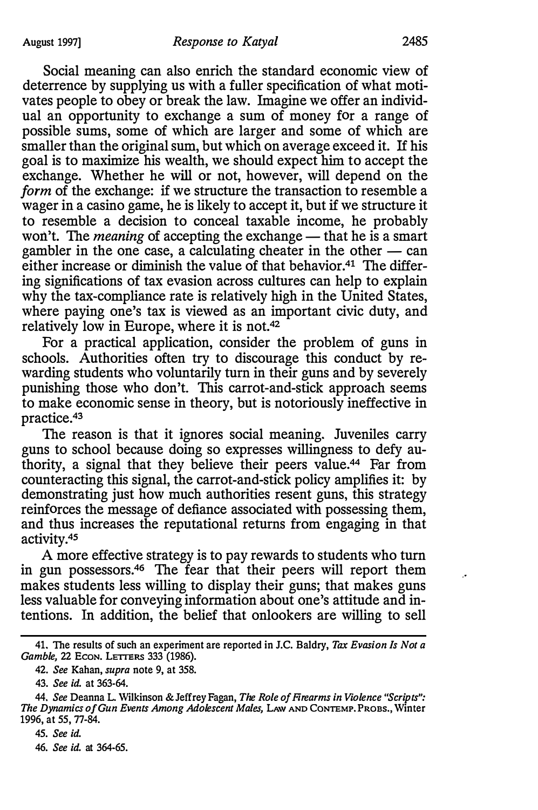Social meaning can also enrich the standard economic view of deterrence by supplying us with a fuller specification of what motivates people to obey or break the law. Imagine we offer an individual an opportunity to exchange a sum of money for a range of possible sums, some of which are larger and some of which are smaller than the original sum, but which on average exceed it. If his goal is to maximize his wealth, we should expect him to accept the exchange. Whether he will or not, however, will depend on the form of the exchange: if we structure the transaction to resemble a wager in a casino game, he is likely to accept it, but if we structure it to resemble a decision to conceal taxable income, he probably won't. The *meaning* of accepting the exchange  $-$  that he is a smart gambler in the one case, a calculating cheater in the other  $-$  can either increase or diminish the value of that behavior.<sup>41</sup> The differing significations of tax evasion across cultures can help to explain why the tax-compliance rate is relatively high in the United States, where paying one's tax is viewed as an important civic duty, and relatively low in Europe, where it is not.42

For a practical application, consider the problem of guns in schools. Authorities often try to discourage this conduct by rewarding students who voluntarily turn in their guns and by severely punishing those who don't. This carrot-and-stick approach seems to make economic sense in theory, but is notoriously ineffective in practice.43

The reason is that it ignores social meaning. Juveniles carry guns to school because doing so expresses willingness to defy authority, a signal that they believe their peers value.44 Far from counteracting this signal, the carrot-and-stick policy amplifies it: by demonstrating just how much authorities resent guns, this strategy reinforces the message of defiance associated with possessing them, and thus increases the reputational returns from engaging in that activity.45

A more effective strategy is to pay rewards to students who turn in gun possessors.46 The fear that their peers will report them makes students less willing to display their guns; that makes guns less valuable for conveying information about one's attitude and intentions. In addition, the belief that onlookers are willing to sell

45. See id. 46. See id. at 364-65.  $\ddot{\phantom{a}}$ 

<sup>41.</sup> The results of such an experiment are reported in J.C. Baldry, Tax Evasion Is Not a Gamble, 22 ECON. LETTERS 333 (1986).

<sup>42.</sup> See Kahan, supra note 9, at 358.

<sup>43.</sup> See id. at 363-64.

<sup>44.</sup> See Deanna L. Wilkinson & Jeffrey Fagan, The Role of Firearms in Violence "Scripts": The Dynamics of Gun Events Among Adolescent Males, LAW AND CONTEMP. PROBS., Winter 1996, at 55, 77-84.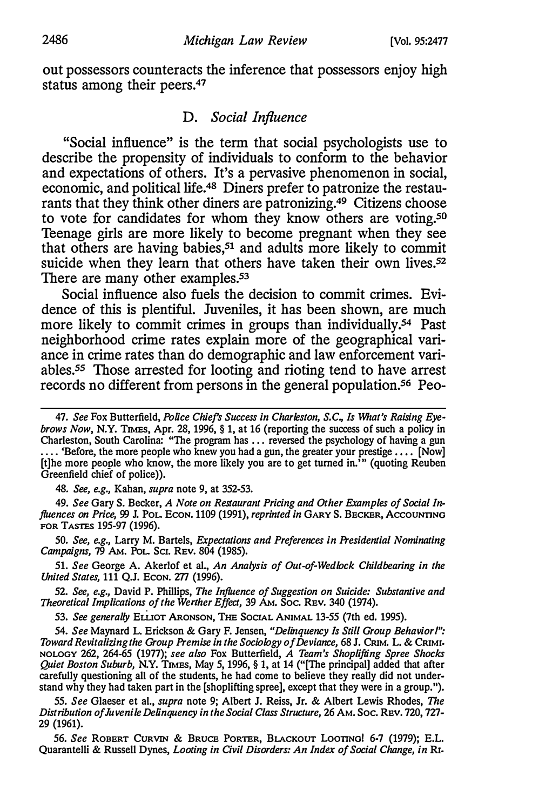out possessors counteracts the inference that possessors enjoy high status among their peers.<sup>47</sup>

# D. Social Influence

"Social influence" is the term that social psychologists use to describe the propensity of individuals to conform to the behavior and expectations of others. It's a pervasive phenomenon in social, economic, and political life.48 Diners prefer to patronize the restaurants that they think other diners are patronizing.49 Citizens choose to vote for candidates for whom they know others are voting.<sup>50</sup> Teenage girls are more likely to become pregnant when they see that others are having babies, $51$  and adults more likely to commit suicide when they learn that others have taken their own lives.<sup>52</sup> There are many other examples.<sup>53</sup>

Social influence also fuels the decision to commit crimes. Evidence of this is plentiful. Juveniles, it has been shown, are much more likely to commit crimes in groups than individually.<sup>54</sup> Past neighborhood crime rates explain more of the geographical variance in crime rates than do demographic and law enforcement variables.<sup>55</sup> Those arrested for looting and rioting tend to have arrest records no different from persons in the general population.<sup>56</sup> Peo-

48. See, e.g., Kahan, supra note 9, at 352-53.

49. See Gary S. Becker, A Note on Restaurant Pricing and Other Examples of Social Influences on Price, 99 J. POL. ECON. 1109 (1991), reprinted in GARY S. BECKER, ACCOUNTING FOR TASTES 195-97 {1996).

50. See, e.g., Larry M. Bartels, Expectations and Preferences in Presidential Nominating Campaigns, 19 AM. PoL Ser. REv. 804 {1985).

51. See George A. Akerlof et al., An Analysis of Out-of-Wedlock Childbearing in the United States, 111 Q.J. ECON. 277 (1996).

52. See, e.g., David P. Phillips, The Influence of Suggestion on Suicide: Substantive and Theoretical Implications of the Werther Effect, 39 AM. Soc. REv. 340 {1974).

53. See generally ELLIOT ARONSON, THE SOCIAL ANIMAL 13-55 (7th ed. 1995).

54. See Maynard L. Erickson & Gary F. Jensen, "Delinquency ls Still Group Behavior/": Toward Revitalizing the Group Premise in the Sociology of Deviance, 68 J. CRIM. L. & CRIMI· NOLOGY 262, 264-65 (1977); see also Fox Butterfield, A Team's Shoplifting Spree Shocks Quiet Boston Suburb, N.Y. TIMES, May 5, 1996, § 1, at 14 ("[The principal] added that after carefully questioning all of the students, he had come to believe they really did not understand why they had taken part in the [shoplifting spree], except that they were in a group.").

55. See Glaeser et al., supra note 9; Albert J. Reiss, Jr. & Albert Lewis Rhodes, The Distribution of Juvenile Delinquency in the Social Class Structure, 26 AM. Soc. REV. 720, 727- 29 {1961).

56. See ROBERT CURVIN & BRUCE PORTER, BLACKOUT LOOTINO! 6-7 (1979); E.L. Quarantelli & Russell Dynes, Looting in Civil Disorders: An Index of Social Change, in R1.

<sup>47.</sup> See Fox Butterfield, Police Chief's Success in Charleston, S.C., Is What's Raising Eyebrows Now, N.Y. TIMES, Apr. 28, 1996, § 1, at 16 (reporting the success of such a policy in Charleston, South Carolina: "The program has ... reversed the psychology of having a gun ... 'Before, the more people who knew you had a gun, the greater your prestige .... [Now] [t]he more people who know, the more likely you are to get turned in."' (quoting Reuben Greenfield chief of police)).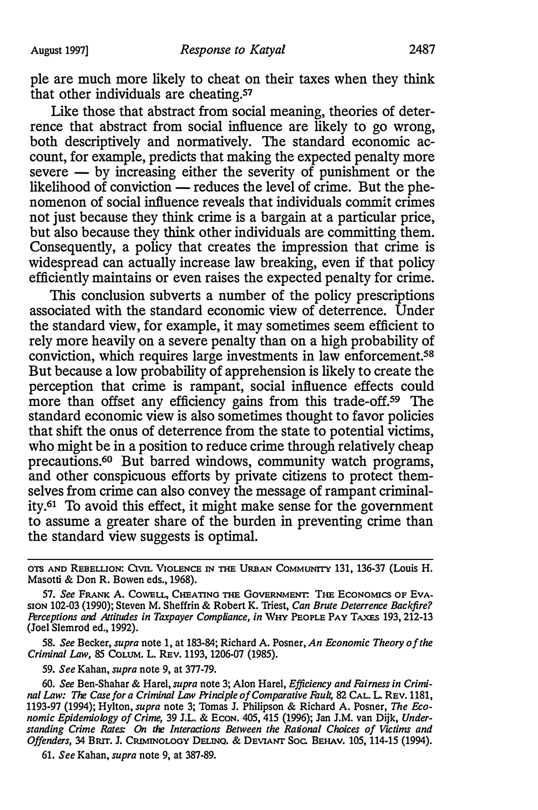ple are much more likely to cheat on their taxes when they think that other individuals are cheating.<sup>57</sup>

Like those that abstract from social meaning, theories of deterrence that abstract from social influence are likely to go wrong, both descriptively and normatively. The standard economic account, for example, predicts that making the expected penalty more  $severe - by increasing either the severity of punishment or the$ likelihood of conviction  $-$  reduces the level of crime. But the phenomenon of social influence reveals that individuals commit crimes not just because they think crime is a bargain at a particular price, but also because they think other individuals are committing them. Consequently, a policy that creates the impression that crime is widespread can actually increase law breaking, even if that policy efficiently maintains or even raises the expected penalty for crime.

This conclusion subverts a number of the policy prescriptions associated with the standard economic view of deterrence. Under the standard view, for example, it may sometimes seem efficient to rely more heavily on a severe penalty than on a high probability of conviction, which requires large investments in law enforcement.58 But because a low probability of apprehension is likely to create the perception that crime is rampant, social influence effects could more than offset any efficiency gains from this trade-off.<sup>59</sup> The standard economic view is also sometimes thought to favor policies that shift the onus of deterrence from the state to potential victims, who might be in a position to reduce crime through relatively cheap precautions.6° But barred windows, community watch programs, and other conspicuous efforts by private citizens to protect themselves from crime can also convey the message of rampant criminality. 61 To avoid this effect, it might make sense for the government to assume a greater share of the burden in preventing crime than the standard view suggests is optimal.

58. See Becker, supra note 1, at 183-84; Richard A. Posner, An Economic Theory of the Criminal Law, 85 CoLUM. L. REv. 1193, 1206-07 (1985).

59. See Kahan, supra note 9, at 377-79.

60. See Ben-Shahar & Harel, supra note 3; Alon Harel, Efficiency and Fairness in Criminal Law: The Case for a Criminal Law Principle of Comparative Fault, 82 CAL. L. REv. 1181, 1193-97 {1994); Hylton, supra note 3; Tomas J. Philipson & Richard A. Posner, The Economic Epidemiology of Crime, 39 J.L. & Econ. 405, 415 (1996); Jan J.M. van Dijk, Understanding Crime Rates: On the Interactions Between the Rational Choices of Victims and Offenders, 34 BRIT. J. CRIMINOLOGY DELINQ. & DEVIANT Soc. BEHAV. 105, 114-15 (1994).

61. See Kahan, supra note 9, at 387-89.

OTS AND REBELLION: Crvn. VIOLENCE IN THE URBAN COMMUNITY 131, 136-37 (Louis H. Masotti & Don R. Bowen eds., 1968).

<sup>57.</sup> See FRANK A. COWELL, CHEATING THE GOVERNMENT: THE ECONOMICS OF EVA-SION 102-03 (1990); Steven M. Sheffrin & Robert K. Triest, Can Brute Deterrence Backfire? Perceptions and Attitudes in Taxpayer Compliance, in WHY PEOPLE PAY TAXES 193, 212-13 (Joel Slemrod ed., 1992).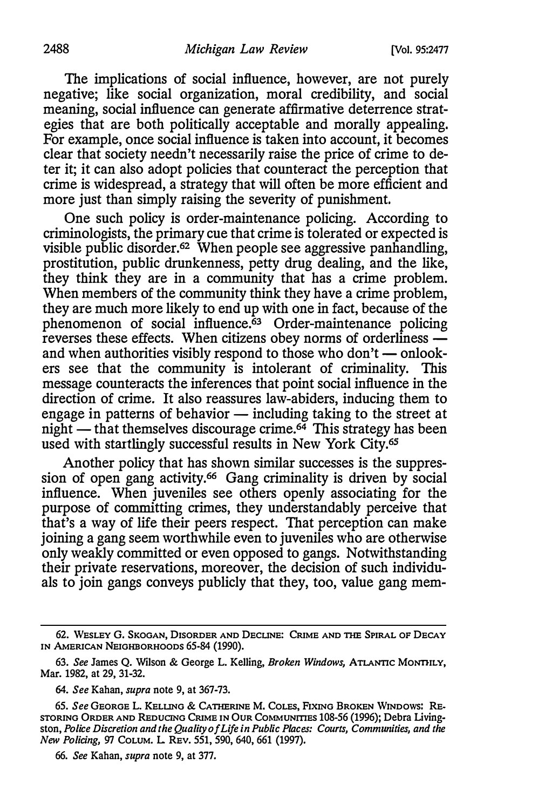The implications of social influence, however, are not purely negative; like social organization, moral credibility, and social meaning, social influence can generate affirmative deterrence strategies that are both politically acceptable and morally appealing. For example, once social influence is taken into account, it becomes clear that society needn't necessarily raise the price of crime to deter it; it can also adopt policies that counteract the perception that crime is widespread, a strategy that will often be more efficient and more just than simply raising the severity of punishment.

One such policy is order-maintenance policing. According to criminologists, the primary cue that crime is tolerated or expected is visible public disorder.<sup>62</sup> When people see aggressive panhandling, prostitution, public drunkenness, petty drug dealing, and the like, they think they are in a community that has a crime problem. When members of the community think they have a crime problem, they are much more likely to end up with one in fact, because of the phenomenon of social influence.<sup>63</sup> Order-maintenance policing reverses these effects. When citizens obey norms of orderliness and when authorities visibly respond to those who don't  $\rightharpoonup$  onlookers see that the community is intolerant of criminality. This message counteracts the inferences that point social influence in the direction of crime. It also reassures law-abiders, inducing them to engage in patterns of behavior  $-$  including taking to the street at night  $-$  that themselves discourage crime.<sup>64</sup> This strategy has been used with startlingly successful results in New York City.<sup>65</sup>

Another policy that has shown similar successes is the suppression of open gang activity.<sup>66</sup> Gang criminality is driven by social influence. When juveniles see others openly associating for the purpose of committing crimes, they understandably perceive that that's a way of life their peers respect. That perception can make joining a gang seem worthwhile even to juveniles who are otherwise only weakly committed or even opposed to gangs. Notwithstanding their private reservations, moreover, the decision of such individuals to join gangs conveys publicly that they, too, value gang mem-

<sup>62.</sup> WESLEY G. SKOGAN, DISORDER AND DECLINE: CRIME AND THE SPIRAL OF DECAY IN AMERICAN NEIGHBORHOODS 65-84 (1990).

<sup>63.</sup> See James Q. Wilson & George L. Kelling, Broken Windows, ATLANTIC MoNTIILY, Mar. 1982, at 29, 31-32.

<sup>64.</sup> See Kahan, supra note 9, at 367-73.

<sup>65.</sup> See GEORGE L. KELLING & CATHERINE M. COLES, FIXING BROKEN WINDows: RE-STORING ORDER AND REDUCING CRIME IN OUR COMMUNITIES 108-56 (1996); Debra Livingston, Police Discretion and the Quality of Life in Public Places: Courts, Communities, and the New Policing, 97 CoLUM. L. REv. 551, 590, 640, 661 (1997).

<sup>66.</sup> See Kahan, supra note 9, at 377.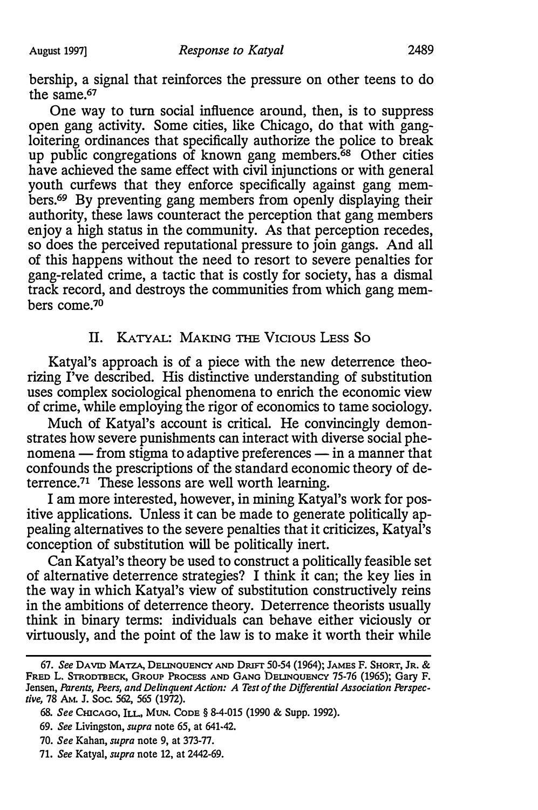bership, a signal that reinforces the pressure on other teens to do the same.67

One way to turn social influence around, then, is to suppress open gang activity. Some cities, like Chicago, do that with gangloitering ordinances that specifically authorize the police to break up public congregations of known gang members.<sup>68</sup> Other cities have achieved the same effect with civil injunctions or with general youth curfews that they enforce specifically against gang members.<sup>69</sup> By preventing gang members from openly displaying their authority, these laws counteract the perception that gang members enjoy a high status in the community. As that perception recedes, so does the perceived reputational pressure to join gangs. And all of this happens without the need to resort to severe penalties for gang-related crime, a tactic that is costly for society, has a dismal track record, and destroys the communities from which gang members come.<sup>70</sup>

# II. KATYAL: MAKING THE VICIOUS LESS SO

Katyal's approach is of a piece with the new deterrence theorizing I've described. His distinctive understanding of substitution uses complex sociological phenomena to enrich the economic view of crime, while employing the rigor of economics to tame sociology.

Much of Katyal's account is critical. He convincingly demonstrates how severe punishments can interact with diverse social phenomena - from stigma to adaptive preferences - in a manner that confounds the prescriptions of the standard economic theory of deterrence.71 These lessons are well worth learning.

I am more interested, however, in mining Katyal's work for positive applications. Unless it can be made to generate politically appealing alternatives to the severe penalties that it criticizes, Katyal's conception of substitution will be politically inert.

Can Katyal's theory be used to construct a politically feasible set of alternative deterrence strategies? I think it can; the key lies in the way in which Katyal's view of substitution constructively reins in the ambitions of deterrence theory. Deterrence theorists usually think in binary terms: individuals can behave either viciously or virtuously, and the point of the law is to make it worth their while

<sup>67.</sup> See DAVID MATZA, DELINQUENCY AND DRIFT 50-54 (1964); JAMES F. SHORT, JR. & FRED L. STRODTBECK, GROUP PROCESS AND GANG DELINQUENCY 75-76 (1965); Gary F. Jensen, Parents, Peers, and Delinquent Action: A Test of the Differential Association Perspective, 78 AM. J. Soc. 562, 565 (1972).

<sup>68.</sup> See CHICAGO, ILL., MUN. CODE § 8-4-015 (1990 & Supp. 1992).

<sup>69.</sup> See Livingston, supra note 65, at 641-42.

<sup>70.</sup> See Kahan, supra note 9, at 373-77.

<sup>71.</sup> See Katyal, supra note 12, at 2442-69.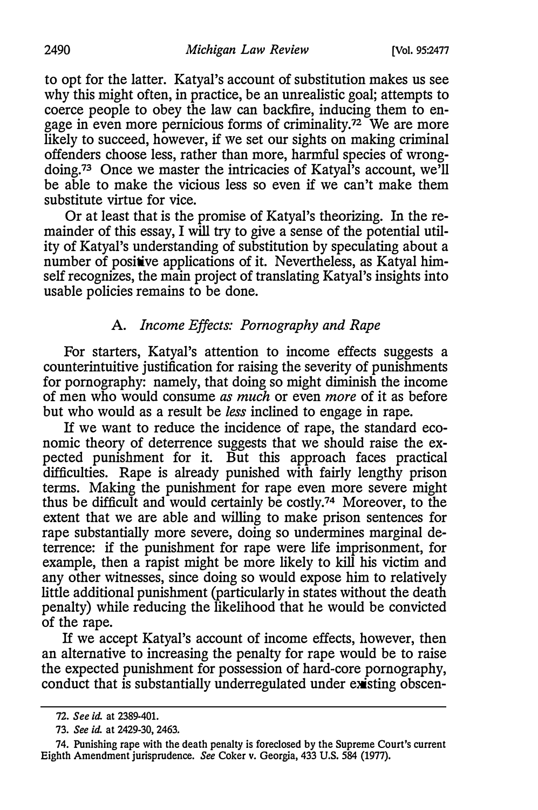to opt for the latter. Katyal's account of substitution makes us see why this might often, in practice, be an unrealistic goal; attempts to coerce people to obey the law can backfire, inducing them to engage in even more pernicious forms of criminality.<sup>72</sup> We are more likely to succeed, however, if we set our sights on making criminal offenders choose less, rather than more, harmful species of wrongdoing.73 Once we master the intricacies of Katyal's account, we'll be able to make the vicious less so even if we can't make them substitute virtue for vice.

Or at least that is the promise of Katyal's theorizing. In the remainder of this essay, I will try to give a sense of the potential utility of Katyal's understanding of substitution by speculating about a number of positive applications of it. Nevertheless, as Katyal himself recognizes, the main project of translating Katyal's insights into usable policies remains to be done.

# A. Income Effects: Pornography and Rape

For starters, Katyal's attention to income effects suggests a counterintuitive justification for raising the severity of punishments for pornography: namely, that doing so might diminish the income of men who would consume as much or even more of it as before but who would as a result be less inclined to engage in rape.

If we want to reduce the incidence of rape, the standard economic theory of deterrence suggests that we should raise the expected punishment for it. But this approach faces practical difficulties. Rape is already punished with fairly lengthy prison terms. Making the punishment for rape even more severe might thus be difficult and would certainly be costly.74 Moreover, to the extent that we are able and willing to make prison sentences for rape substantially more severe, doing so undermines marginal deterrence: if the punishment for rape were life imprisonment, for example, then a rapist might be more likely to kill his victim and any other witnesses, since doing so would expose him to relatively little additional punishment (particularly in states without the death penalty) while reducing the likelihood that he would be convicted of the rape.

If we accept Katyal's account of income effects, however, then an alternative to increasing the penalty for rape would be to raise the expected punishment for possession of hard-core pornography, conduct that is substantially underregulated under existing obscen-

<sup>72.</sup> See id. at 2389-401.

<sup>73.</sup> See id. at 2429-30, 2463.

<sup>74.</sup> Punishing rape with the death penalty is foreclosed by the Supreme Court's current Eighth Amendment jurisprudence. See Coker v. Georgia, 433 U.S. 584 (1977).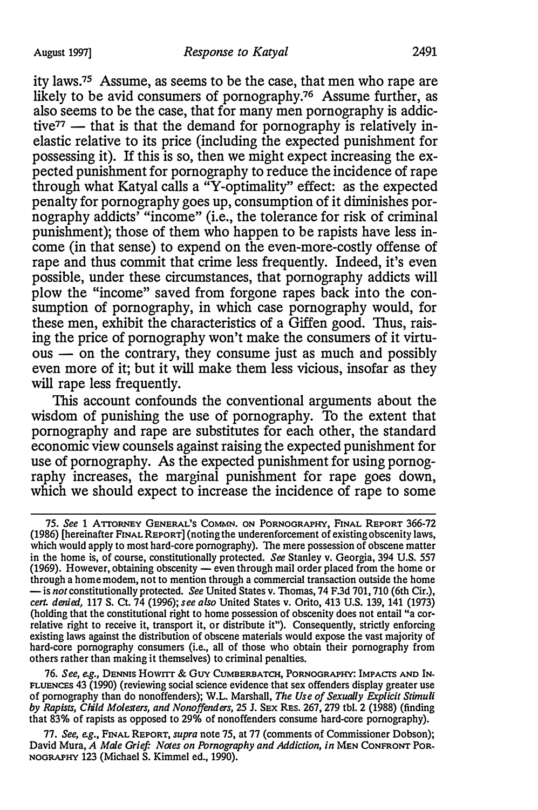ity laws.75 Assume, as seems to be the case, that men who rape are likely to be avid consumers of pornography.76 Assume further, as also seems to be the case, that for many men pornography is addictive $77$  — that is that the demand for pornography is relatively inelastic relative to its price (including the expected punishment for possessing it). If this is so, then we might expect increasing the expected punishment for pornography to reduce the incidence of rape through what Katyal calls a "Y-optimality" effect: as the expected penalty for pornography goes up, consumption of it diminishes pornography addicts' "income" (i.e., the tolerance for risk of criminal punishment); those of them who happen to be rapists have less income (in that sense) to expend on the even-more-costly offense of rape and thus commit that crime less frequently. Indeed, it's even possible, under these circumstances, that pornography addicts will plow the "income" saved from forgone rapes back into the consumption of pornography, in which case pornography would, for these men, exhibit the characteristics of a Giffen good. Thus, raising the price of pornography won't make the consumers of it virtu- $\overline{\text{ous}}$  - on the contrary, they consume just as much and possibly even more of it; but it will make them less vicious, insofar as they will rape less frequently.

This account confounds the conventional arguments about the wisdom of punishing the use of pornography. To the extent that pornography and rape are substitutes for each other, the standard economic view counsels against raising the expected punishment for use of pornography. As the expected punishment for using pornography increases, the marginal punishment for rape goes down, which we should expect to increase the incidence of rape to some

76. See, e.g., DENNIS Howrrr & GUY CuMBERBATCH, PORNOGRAPHY: IMPACTS AND IN-FLUENCES 43 (1990) (reviewing social science evidence that sex offenders display greater use of pornography than do nonoffenders); W.L. Marshall, The Use of Sexually Explicit Stimuli by Rapists, Child Molesters, and Nonoffenders, 25 J. SEX REs. 267, 279 tbl. 2 (1988) (finding that 83% of rapists as opposed to 29% of nonoffenders consume hard-core pornography).

77. See, e.g., FINAL REPORT, supra note 75, at 77 (comments of Commissioner Dobson); David Mura, A Male Grief: Notes on Pornography and Addiction, in MEN CONFRONT POR-NOGRAPHY 123 (Michael S. Kimmel ed., 1990).

<sup>75.</sup> See 1 ArroRNEY GENERAL'S CoMMN. ON PORNOGRAPHY, FINAL REPORT 366-72 (1986) [hereinafter FINAL REPORT] (noting the underenforcement of existing obscenity laws, which would apply to most hard-core pornography). The mere possession of obscene matter in the home is, of course, constitutionally protected. See Stanley v. Georgia, 394 U.S. 557 (1969). However, obtaining obscenity - even through mail order placed from the home or through a home modem, not to mention through a commercial transaction outside the home  $-$  is not constitutionally protected. See United States v. Thomas, 74 F.3d 701, 710 (6th Cir.), cert. denied, 117 S. Ct. 74 (1996); see also United States v. Orito, 413 U.S. 139, 141 (1973) (holding that the constitutional right to home possession of obscenity does not entail "a correlative right to receive it, transport it, or distribute it"). Consequently, strictly enforcing existing laws against the distribution of obscene materials would expose the vast majority of hard-core pornography consumers (i.e., all of those who obtain their pornography from others rather than making it themselves) to criminal penalties.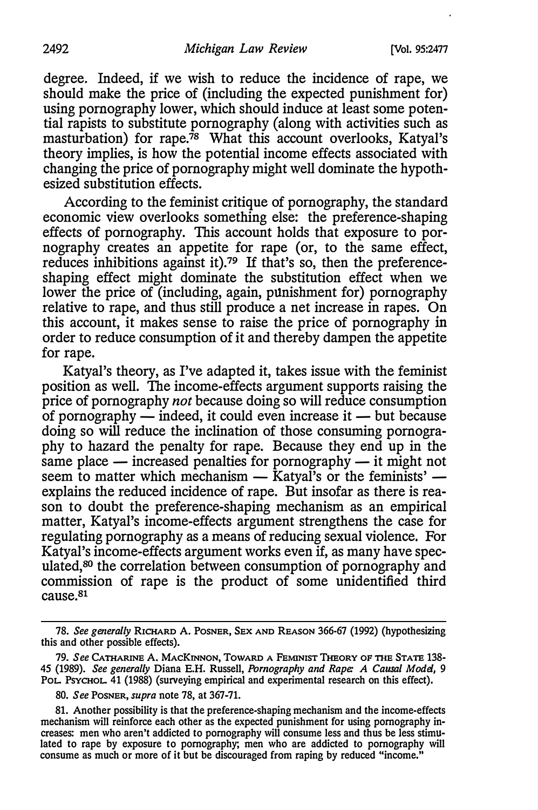degree. Indeed, if we wish to reduce the incidence of rape, we should make the price of (including the expected punishment for) using pornography lower, which should induce at least some potential rapists to substitute pornography (along with activities such as masturbation) for rape.<sup>78</sup> What this account overlooks, Katyal's theory implies, is how the potential income effects associated with changing the price of pornography might well dominate the hypothesized substitution effects.

According to the feminist critique of pornography, the standard economic view overlooks something else: the preference-shaping effects of pornography. This account holds that exposure to pornography creates an appetite for rape (or, to the same effect, reduces inhibitions against it).<sup>79</sup> If that's so, then the preferenceshaping effect might dominate the substitution effect when we lower the price of (including, again, punishment for) pornography relative to rape, and thus still produce a net increase in rapes. On this account, it makes sense to raise the price of pornography in order to reduce consumption of it and thereby dampen the appetite for rape.

Katyal's theory, as I've adapted it, takes issue with the feminist position as well. The income-effects argument supports raising the price of pornography *not* because doing so will reduce consumption of pornography  $-$  indeed, it could even increase it  $-$  but because doing so will reduce the inclination of those consuming pornography to hazard the penalty for rape. Because they end up in the same place  $-$  increased penalties for pornography  $-$  it might not seem to matter which mechanism  $-$  Katyal's or the feminists'  $$ explains the reduced incidence of rape. But insofar as there is reason to doubt the preference-shaping mechanism as an empirical matter, Katyal's income-effects argument strengthens the case for regulating pornography as a means of reducing sexual violence. For Katyal's income-effects argument works even if, as many have speculated, 80 the correlation between consumption of pornography and commission of rape is the product of some unidentified third cause.81

<sup>78.</sup> See generally RICHARD A. POSNER, SEx AND REASON 366·67 (1992) (hypothesizing this and other possible effects).

<sup>79.</sup> See CATHARINE A. MACKINNON, TOWARD A FEMINIST THEORY OF THE STATE 138-45 (1989). See generally Diana E.H. Russell, Pornography and Rape: A Causal Model, 9 PoL. PsYCHOL. 41 (1988) (surveying empirical and experimental research on this effect).

<sup>80.</sup> See Posner, supra note 78, at 367-71.

<sup>81.</sup> Another possibility is that the preference-shaping mechanism and the income·effects mechanism will reinforce each other as the expected punishment for using pornography increases: men who aren't addicted to pornography will consume less and thus be less stimulated to rape by exposure to pornography; men who are addicted to pornography will consume as much or more of it but be discouraged from raping by reduced "income."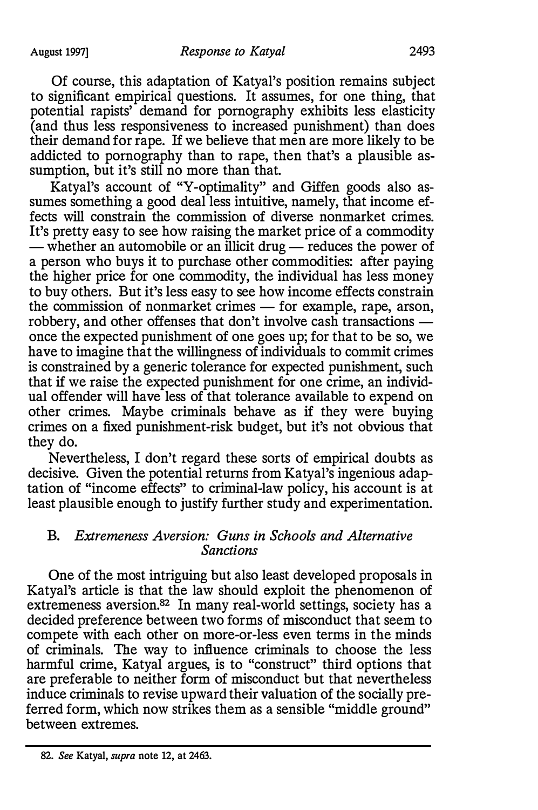Of course, this adaptation of Katyal's position remains subject to significant empirical questions. It assumes, for one thing, that potential rapists' demand for pornography exhibits less elasticity (and thus less responsiveness to increased punishment) than does their demand for rape. If we believe that men are more likely to be addicted to pornography than to rape, then that's a plausible assumption, but it's still no more than that.

Katyal's account of "Y-optimality" and Giffen goods also assumes something a good deal less intuitive, namely, that income effects will constrain the commission of diverse nonmarket crimes. It's pretty easy to see how raising the market price of a commodity - whether an automobile or an illicit drug - reduces the power of a person who buys it to purchase other commodities: after paying the higher price for one commodity, the individual has less money to buy others. But it's less easy to see how income effects constrain the commission of nonmarket crimes  $-$  for example, rape, arson, robbery, and other offenses that don't involve cash transactions once the expected punishment of one goes up; for that to be so, we have to imagine that the willingness of individuals to commit crimes is constrained by a generic tolerance for expected punishment, such that if we raise the expected punishment for one crime, an individual offender will have less of that tolerance available to expend on other crimes. Maybe criminals behave as if they were buying crimes on a fixed punishment-risk budget, but it's not obvious that they do.

Nevertheless, I don't regard these sorts of empirical doubts as decisive. Given the potential returns from Katyal's ingenious adaptation of "income effects" to criminal-law policy, his account is at least plausible enough to justify further study and experimentation.

# B. Extremeness Aversion: Guns in Schools and Alternative Sanctions

One of the most intriguing but also least developed proposals in Katyal's article is that the law should exploit the phenomenon of extremeness aversion.82 In many real-world settings, society has a decided preference between two forms of misconduct that seem to compete with each other on more-or-less even terms in the minds of criminals. The way to influence criminals to choose the less harmful crime, Katyal argues, is to "construct" third options that are preferable to neither form of misconduct but that nevertheless induce criminals to revise upward their valuation of the socially preferred form, which now strikes them as a sensible "middle ground" between extremes.

<sup>82.</sup> See Katyal, supra note 12, at 2463.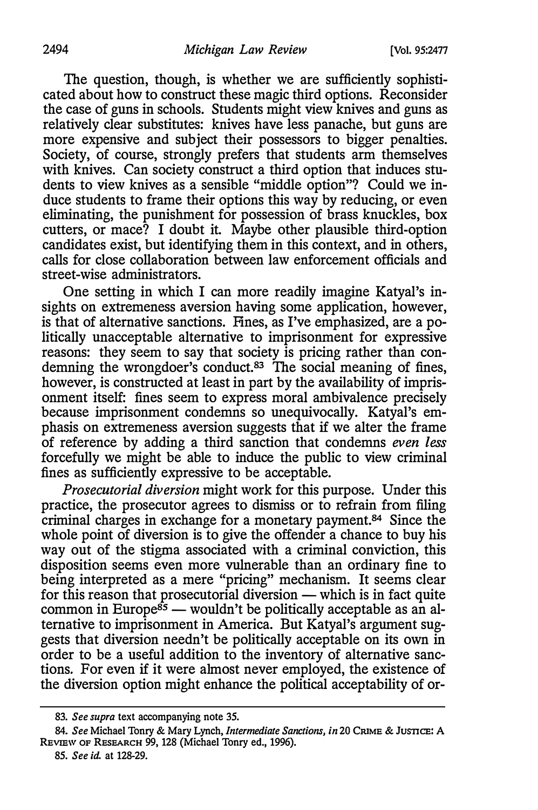The question, though, is whether we are sufficiently sophisticated about how to construct these magic third options. Reconsider the case of guns in schools. Students might view knives and guns as relatively clear substitutes: knives have less panache, but guns are more expensive and subject their possessors to bigger penalties. Society, of course, strongly prefers that students arm themselves with knives. Can society construct a third option that induces students to view knives as a sensible "middle option"? Could we induce students to frame their options this way by reducing, or even eliminating, the punishment for possession of brass knuckles, box cutters, or mace? I doubt it. Maybe other plausible third-option candidates exist, but identifying them in this context, and in others, calls for close collaboration between law enforcement officials and street-wise administrators.

One setting in which I can more readily imagine Katyal's insights on extremeness aversion having some application, however, is that of alternative sanctions. Fines, as I've emphasized, are a politically unacceptable alternative to imprisonment for expressive reasons: they seem to say that society is pricing rather than condemning the wrongdoer's conduct.<sup>83</sup> The social meaning of fines, however, is constructed at least in part by the availability of imprisonment itself: fines seem to express moral ambivalence precisely because imprisonment condemns so unequivocally. Katyal's emphasis on extremeness aversion suggests that if we alter the frame of reference by adding a third sanction that condemns even less forcefully we might be able to induce the public to view criminal fines as sufficiently expressive to be acceptable.

Prosecutorial diversion might work for this purpose. Under this practice, the prosecutor agrees to dismiss or to refrain from filing criminal charges in exchange for a monetary payment.<sup>84</sup> Since the whole point of diversion is to give the offender a chance to buy his way out of the stigma associated with a criminal conviction, this disposition seems even more vulnerable than an ordinary fine to being interpreted as a mere "pricing" mechanism. It seems clear for this reason that prosecutorial diversion  $-$  which is in fact quite common in Europe<sup>85</sup> — wouldn't be politically acceptable as an alternative to imprisonment in America. But Katyal's argument suggests that diversion needn't be politically acceptable on its own in order to be a useful addition to the inventory of alternative sanctions. For even if it were almost never employed, the existence of the diversion option might enhance the political acceptability of or-

<sup>83.</sup> See supra text accompanying note 35.

<sup>84.</sup> See Michael Tonry & Mary Lynch, Intermediate Sanctions, in 20 CRIME & JUSTICE: A REVIEW OF RESEARCH 99, 128 (Michael Tonry ed., 1996).

<sup>85.</sup> See id. at 128-29.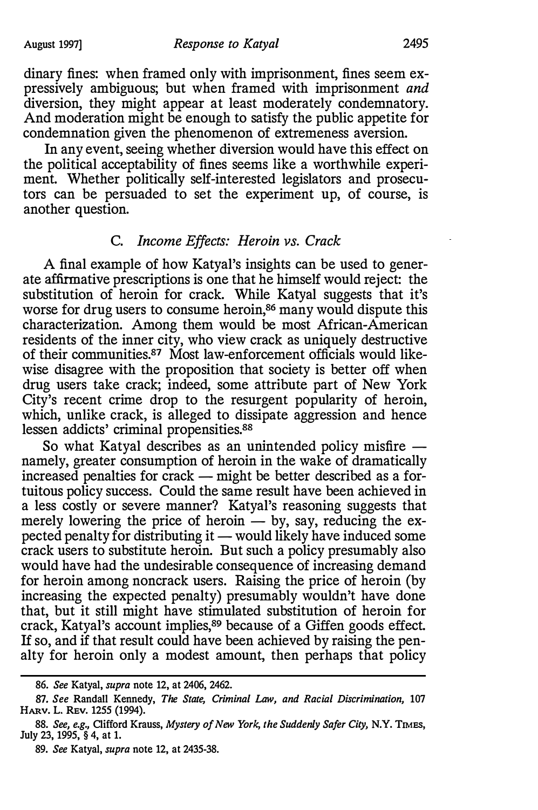dinary fines: when framed only with imprisonment, fines seem expressively ambiguous; but when framed with imprisonment and diversion, they might appear at least moderately condemnatory. And moderation might be enough to satisfy the public appetite for condemnation given the phenomenon of extremeness aversion.

In any event, seeing whether diversion would have this effect on the political acceptability of fines seems like a worthwhile experiment. Whether politically self-interested legislators and prosecutors can be persuaded to set the experiment up, of course, is another question.

# C. Income Effects: Heroin vs. Crack

A final example of how Katyal's insights can be used to generate affirmative prescriptions is one that he himself would reject: the substitution of heroin for crack. While Katyal suggests that it's worse for drug users to consume heroin,<sup>86</sup> many would dispute this characterization. Among them would be most African-American residents of the inner city, who view crack as uniquely destructive of their communities.<sup>87</sup> Most law-enforcement officials would likewise disagree with the proposition that society is better off when drug users take crack; indeed, some attribute part of New York City's recent crime drop to the resurgent popularity of heroin, which, unlike crack, is alleged to dissipate aggression and hence lessen addicts' criminal propensities.<sup>88</sup>

So what Katyal describes as an unintended policy misfire  $$ namely, greater consumption of heroin in the wake of dramatically  $increased$  penalties for crack  $-$  might be better described as a fortuitous policy success. Could the same result have been achieved in a less costly or severe manner? Katyal's reasoning suggests that merely lowering the price of heroin  $-$  by, say, reducing the expected penalty for distributing it  $-$  would likely have induced some crack users to substitute heroin. But such a policy presumably also would have had the undesirable consequence of increasing demand for heroin among noncrack users. Raising the price of heroin (by increasing the expected penalty) presumably wouldn't have done that, but it still might have stimulated substitution of heroin for crack, Katyal's account implies,<sup>89</sup> because of a Giffen goods effect. If so, and if that result could have been achieved by raising the penalty for heroin only a modest amount, then perhaps that policy

<sup>86.</sup> See Katyal, supra note 12, at 2406, 2462.

<sup>87.</sup> See Randall Kennedy, The State, Criminal Law, and Racial Discrimination, 107 HARV. L. REV. 1255 (1994).

<sup>88.</sup> See, e.g., Clifford Krauss, Mystery of New York, the Suddenly Safer City, N.Y. TIMES, July 23, 1995, § 4, at 1.

<sup>89.</sup> See Katyal, supra note 12, at 2435-38.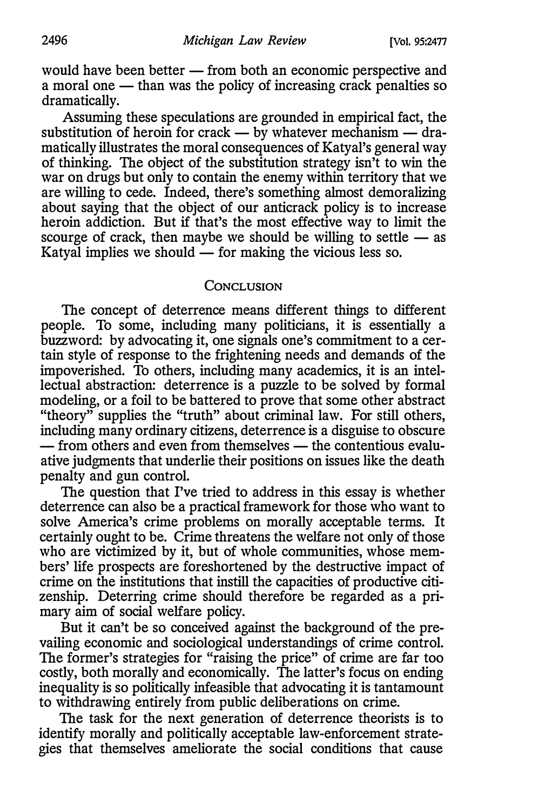would have been better — from both an economic perspective and a moral one  $-$  than was the policy of increasing crack penalties so dramatically.

Assuming these speculations are grounded in empirical fact, the substitution of heroin for crack  $-$  by whatever mechanism  $-$  dramatically illustrates the moral consequences of Katyal's general way of thinking. The object of the substitution strategy isn't to win the war on drugs but only to contain the enemy within territory that we are willing to cede. Indeed, there's something almost demoralizing about saying that the object of our anticrack policy is to increase heroin addiction. But if that's the most effective way to limit the scourge of crack, then maybe we should be willing to settle  $-$  as Katyal implies we should  $\sim$  for making the vicious less so.

### CONCLUSION

The concept of deterrence means different things to different people. To some, including many politicians, it is essentially a buzzword: by advocating it, one signals one's commitment to a certain style of response to the frightening needs and demands of the impoverished. To others, including many academics, it is an intellectual abstraction: deterrence is a puzzle to be solved by formal modeling, or a foil to be battered to prove that some other abstract "theory" supplies the "truth" about criminal law. For still others, including many ordinary citizens, deterrence is a disguise to obscure  $-$  from others and even from themselves  $-$  the contentious evaluative judgments that underlie their positions on issues like the death penalty and gun control.

The question that I've tried to address in this essay is whether deterrence can also be a practical framework for those who want to solve America's crime problems on morally acceptable terms. It certainly ought to be. Crime threatens the welfare not only of those who are victimized by it, but of whole communities, whose members' life prospects are foreshortened by the destructive impact of crime on the institutions that instill the capacities of productive citizenship. Deterring crime should therefore be regarded as a primary aim of social welfare policy.

But it can't be so conceived against the background of the prevailing economic and sociological understandings of crime control. The former's strategies for "raising the price" of crime are far too costly, both morally and economically. The latter's focus on ending inequality is so politically infeasible that advocating it is tantamount to withdrawing entirely from public deliberations on crime.

The task for the next generation of deterrence theorists is to identify morally and politically acceptable law-enforcement strategies that themselves ameliorate the social conditions that cause